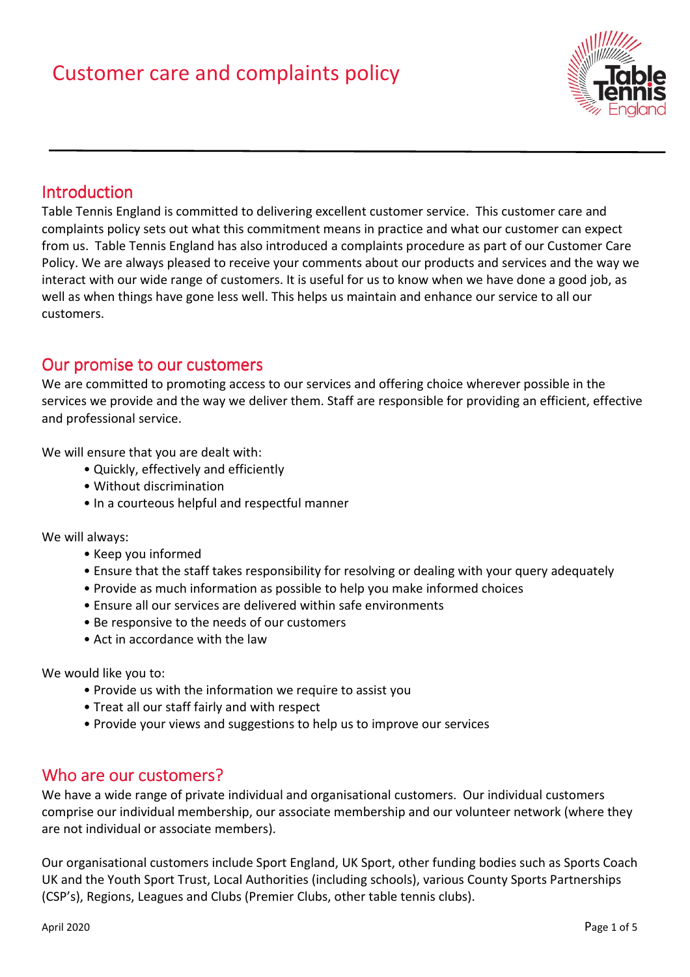

# **Introduction**

Table Tennis England is committed to delivering excellent customer service. This customer care and complaints policy sets out what this commitment means in practice and what our customer can expect from us. Table Tennis England has also introduced a complaints procedure as part of our Customer Care Policy. We are always pleased to receive your comments about our products and services and the way we interact with our wide range of customers. It is useful for us to know when we have done a good job, as well as when things have gone less well. This helps us maintain and enhance our service to all our customers.

## Our promise to our customers

We are committed to promoting access to our services and offering choice wherever possible in the services we provide and the way we deliver them. Staff are responsible for providing an efficient, effective and professional service.

We will ensure that you are dealt with:

- Quickly, effectively and efficiently
- Without discrimination
- In a courteous helpful and respectful manner

We will always:

- Keep you informed
- Ensure that the staff takes responsibility for resolving or dealing with your query adequately
- Provide as much information as possible to help you make informed choices
- Ensure all our services are delivered within safe environments
- Be responsive to the needs of our customers
- Act in accordance with the law

We would like you to:

- Provide us with the information we require to assist you
- Treat all our staff fairly and with respect
- Provide your views and suggestions to help us to improve our services

## Who are our customers?

We have a wide range of private individual and organisational customers. Our individual customers comprise our individual membership, our associate membership and our volunteer network (where they are not individual or associate members).

Our organisational customers include Sport England, UK Sport, other funding bodies such as Sports Coach UK and the Youth Sport Trust, Local Authorities (including schools), various County Sports Partnerships (CSP's), Regions, Leagues and Clubs (Premier Clubs, other table tennis clubs).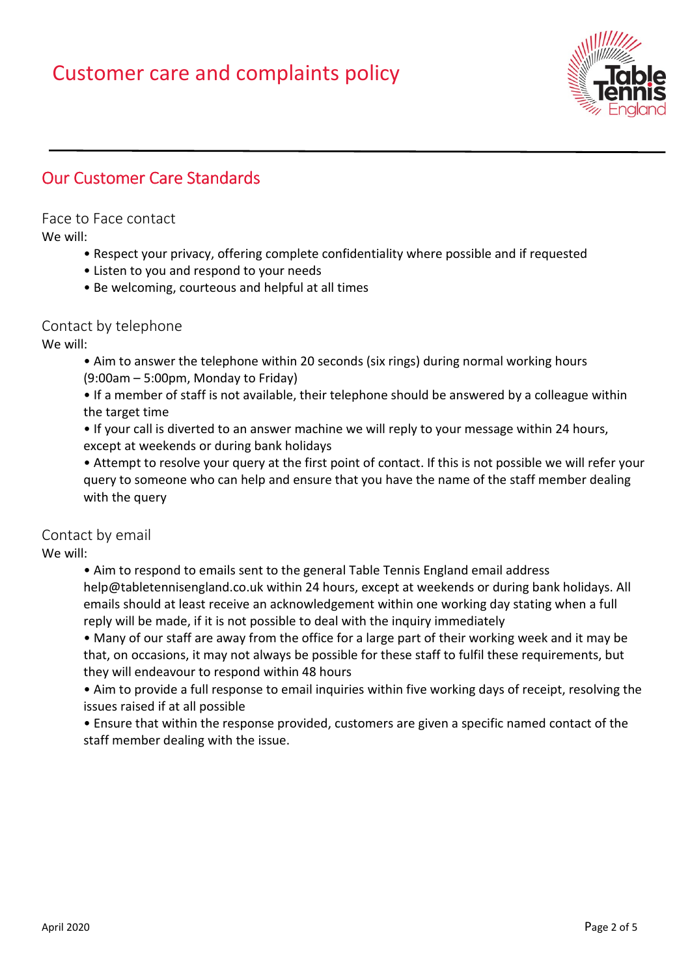

# **Our Customer Care Standards**

Face to Face contact

We will:

- Respect your privacy, offering complete confidentiality where possible and if requested
- Listen to you and respond to your needs
- Be welcoming, courteous and helpful at all times

## Contact by telephone

We will:

- Aim to answer the telephone within 20 seconds (six rings) during normal working hours (9:00am – 5:00pm, Monday to Friday)
- If a member of staff is not available, their telephone should be answered by a colleague within the target time
- If your call is diverted to an answer machine we will reply to your message within 24 hours, except at weekends or during bank holidays
- Attempt to resolve your query at the first point of contact. If this is not possible we will refer your query to someone who can help and ensure that you have the name of the staff member dealing with the query

## Contact by email

We will:

• Aim to respond to emails sent to the general Table Tennis England email address help@tabletennisengland.co.uk within 24 hours, except at weekends or during bank holidays. All emails should at least receive an acknowledgement within one working day stating when a full reply will be made, if it is not possible to deal with the inquiry immediately

• Many of our staff are away from the office for a large part of their working week and it may be that, on occasions, it may not always be possible for these staff to fulfil these requirements, but they will endeavour to respond within 48 hours

• Aim to provide a full response to email inquiries within five working days of receipt, resolving the issues raised if at all possible

• Ensure that within the response provided, customers are given a specific named contact of the staff member dealing with the issue.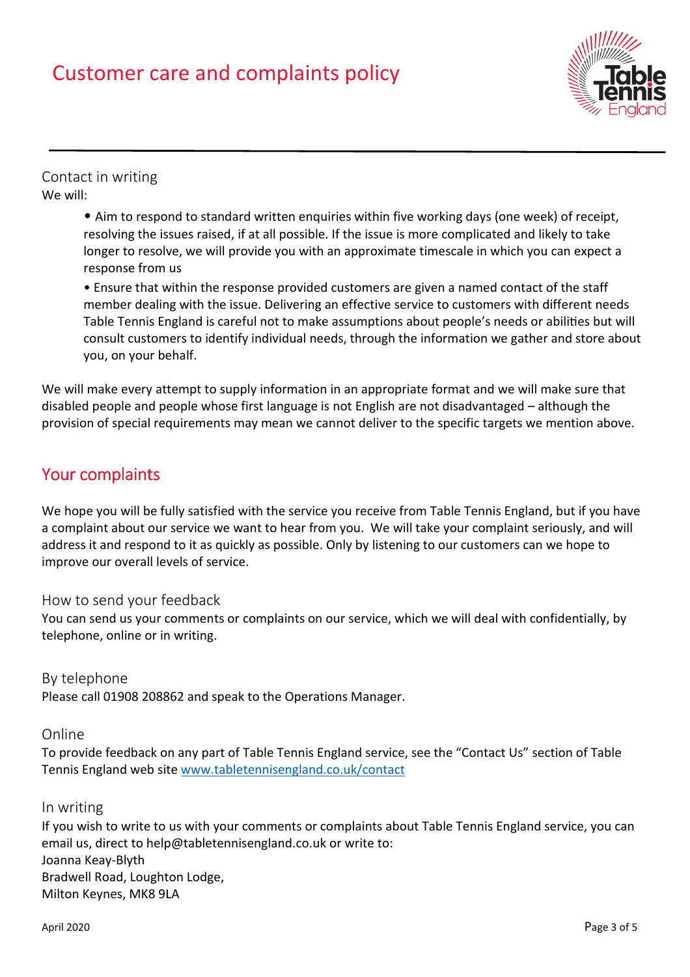

## Contact in writing We will:

• Aim to respond to standard written enquiries within five working days (one week) of receipt, resolving the issues raised, if at all possible. If the issue is more complicated and likely to take longer to resolve, we will provide you with an approximate timescale in which you can expect a response from us

• Ensure that within the response provided customers are given a named contact of the staff member dealing with the issue. Delivering an effective service to customers with different needs Table Tennis England is careful not to make assumptions about people's needs or abilities but will consult customers to identify individual needs, through the information we gather and store about you, on your behalf.

We will make every attempt to supply information in an appropriate format and we will make sure that disabled people and people whose first language is not English are not disadvantaged – although the provision of special requirements may mean we cannot deliver to the specific targets we mention above.

# Your complaints

We hope you will be fully satisfied with the service you receive from Table Tennis England, but if you have a complaint about our service we want to hear from you. We will take your complaint seriously, and will address it and respond to it as quickly as possible. Only by listening to our customers can we hope to improve our overall levels of service.

## How to send your feedback

You can send us your comments or complaints on our service, which we will deal with confidentially, by telephone, online or in writing.

#### By telephone

Please call 01908 208862 and speak to the Operations Manager.

#### Online

To provide feedback on any part of Table Tennis England service, see the "Contact Us" section of Table Tennis England web site www.tabletennisengland.co.uk/contact

## In writing

If you wish to write to us with your comments or complaints about Table Tennis England service, you can email us, direct to help@tabletennisengland.co.uk or write to: Joanna Keay-Blyth Bradwell Road, Loughton Lodge, Milton Keynes, MK8 9LA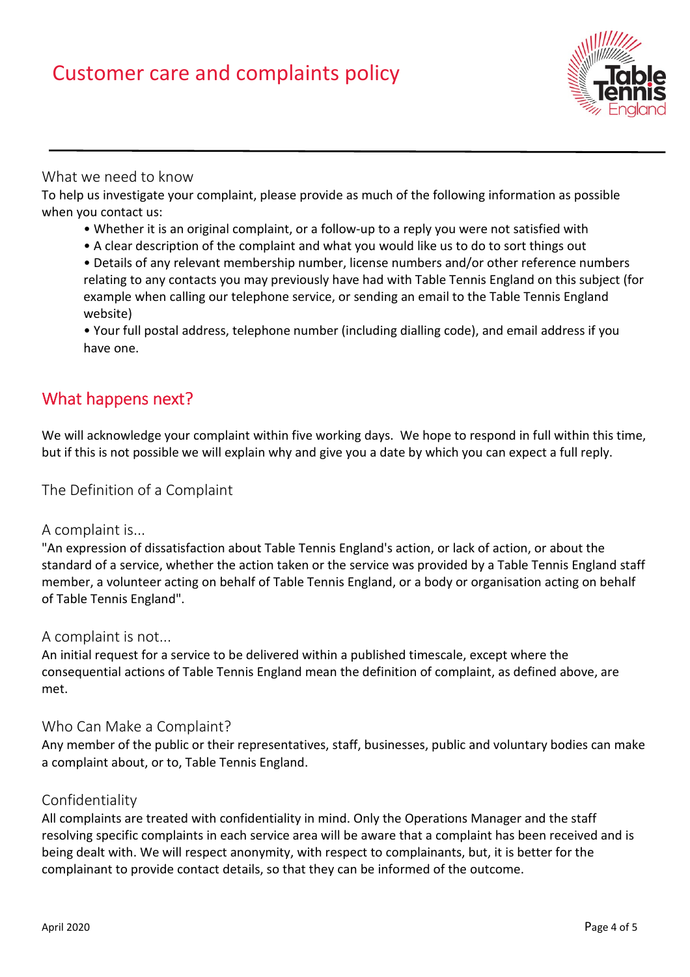

## What we need to know

To help us investigate your complaint, please provide as much of the following information as possible when you contact us:

- Whether it is an original complaint, or a follow-up to a reply you were not satisfied with
- A clear description of the complaint and what you would like us to do to sort things out
- Details of any relevant membership number, license numbers and/or other reference numbers relating to any contacts you may previously have had with Table Tennis England on this subject (for example when calling our telephone service, or sending an email to the Table Tennis England website)

• Your full postal address, telephone number (including dialling code), and email address if you have one.

# What happens next?

We will acknowledge your complaint within five working days. We hope to respond in full within this time, but if this is not possible we will explain why and give you a date by which you can expect a full reply.

The Definition of a Complaint

#### A complaint is...

"An expression of dissatisfaction about Table Tennis England's action, or lack of action, or about the standard of a service, whether the action taken or the service was provided by a Table Tennis England staff member, a volunteer acting on behalf of Table Tennis England, or a body or organisation acting on behalf of Table Tennis England".

#### A complaint is not...

An initial request for a service to be delivered within a published timescale, except where the consequential actions of Table Tennis England mean the definition of complaint, as defined above, are met.

#### Who Can Make a Complaint?

Any member of the public or their representatives, staff, businesses, public and voluntary bodies can make a complaint about, or to, Table Tennis England.

#### Confidentiality

All complaints are treated with confidentiality in mind. Only the Operations Manager and the staff resolving specific complaints in each service area will be aware that a complaint has been received and is being dealt with. We will respect anonymity, with respect to complainants, but, it is better for the complainant to provide contact details, so that they can be informed of the outcome.